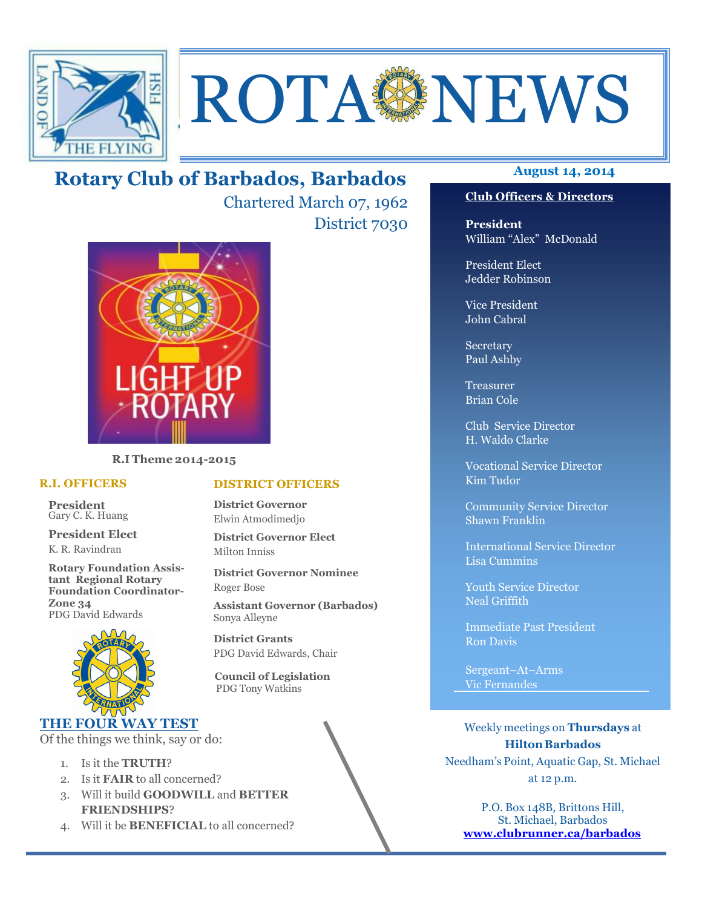

# **ROTA SENEWS**

## **August 14, 2014 Rotary Club of Barbados, Barbados**

Chartered March 07, 1962 District 7030



**R.I Theme 2014-2015** 

#### **R.I. OFFICERS**

**President** Gary C. K. Huang

**President Elect** K. R. Ravindran

**Rotary Foundation Assistant Regional Rotary Foundation Coordinator-Zone 34**  PDG David Edwards



### **THE FOUR WAY TEST**

Of the things we think, say or do:

- 1. Is it the **TRUTH**?
- 2. Is it **FAIR** to all concerned?
- 3. Will it build **GOODWILL** and **BETTER FRIENDSHIPS**?
- 4. Will it be **BENEFICIAL** to all concerned?

#### **Club Officers & Directors**

**President** William "Alex" McDonald

President Elect Jedder Robinson

Vice President John Cabral

Secretary Paul Ashby

Treasurer Brian Cole

Club Service Director H. Waldo Clarke

Vocational Service Director Kim Tudor

Community Service Director Shawn Franklin

International Service Director Lisa Cummins

Youth Service Director Neal Griffith

Immediate Past President Ron Davis

Sergeant–At–Arms Vic Fernandes

Weekly meetings on **Thursdays** at **Hilton Barbados** Needham's Point, Aquatic Gap, St. Michael at 12 p.m.

P.O. Box 148B, Brittons Hill, St. Michael, Barbados **www.clubrunner.ca/barbados**

#### **DISTRICT OFFICERS**

**District Governor** Elwin Atmodimedjo

**District Governor Elect** Milton Inniss

**District Governor Nominee**  Roger Bose

**Assistant Governor (Barbados)** Sonya Alleyne

**District Grants**  PDG David Edwards, Chair

 **Council of Legislation**  PDG Tony Watkins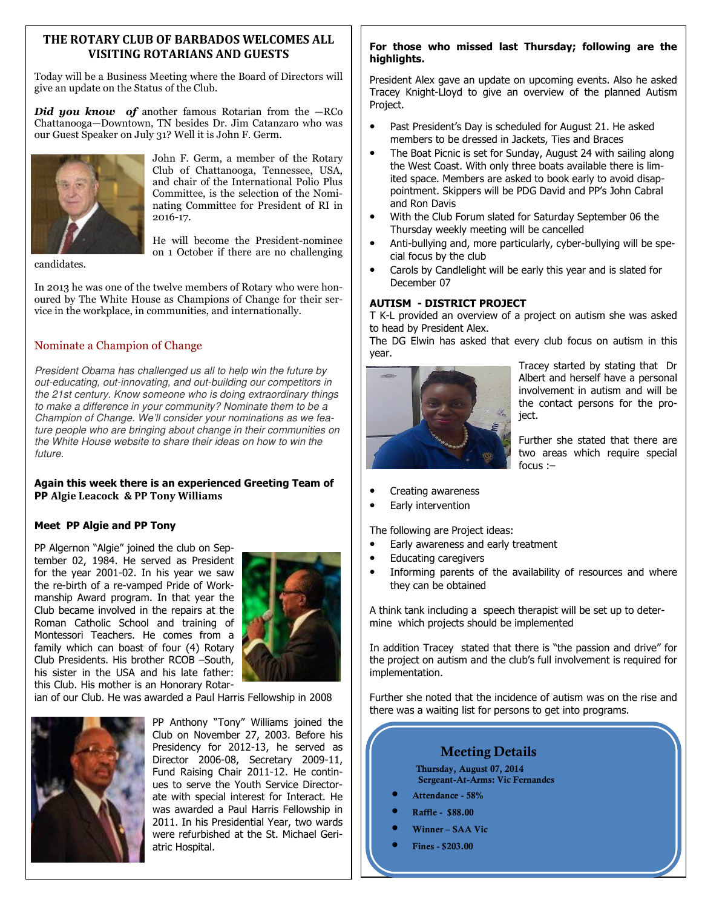#### **THE ROTARY CLUB OF BARBADOS WELCOMES ALL VISITING ROTARIANS AND GUESTS**

Today will be a Business Meeting where the Board of Directors will give an update on the Status of the Club.

*Did you know of another famous Rotarian from the*  $-RC$ *o* Chattanooga—Downtown, TN besides Dr. Jim Catanzaro who was our Guest Speaker on July 31? Well it is John F. Germ.



John F. Germ, a member of the Rotary Club of Chattanooga, Tennessee, USA, and chair of the International Polio Plus Committee, is the selection of the Nominating Committee for President of RI in 2016-17.

candidates.

He will become the President-nominee on 1 October if there are no challenging

In 2013 he was one of the twelve members of Rotary who were honoured by The White House as Champions of Change for their service in the workplace, in communities, and internationally.

#### Nominate a Champion of Change

President Obama has challenged us all to help win the future by out-educating, out-innovating, and out-building our competitors in the 21st century. Know someone who is doing extraordinary things to make a difference in your community? Nominate them to be a Champion of Change. We'll consider your nominations as we feature people who are bringing about change in their communities on the White House website to share their ideas on how to win the future.

#### **Again this week there is an experienced Greeting Team of PP Algie Leacock & PP Tony Williams**

#### **Meet PP Algie and PP Tony**

PP Algernon "Algie" joined the club on September 02, 1984. He served as President for the year 2001-02. In his year we saw the re-birth of a re-vamped Pride of Workmanship Award program. In that year the Club became involved in the repairs at the Roman Catholic School and training of Montessori Teachers. He comes from a family which can boast of four (4) Rotary Club Presidents. His brother RCOB –South, his sister in the USA and his late father: this Club. His mother is an Honorary Rotar-



ian of our Club. He was awarded a Paul Harris Fellowship in 2008



PP Anthony "Tony" Williams joined the Club on November 27, 2003. Before his Presidency for 2012-13, he served as Director 2006-08, Secretary 2009-11, Fund Raising Chair 2011-12. He continues to serve the Youth Service Directorate with special interest for Interact. He was awarded a Paul Harris Fellowship in 2011. In his Presidential Year, two wards were refurbished at the St. Michael Geriatric Hospital.

#### **For those who missed last Thursday; following are the highlights.**

President Alex gave an update on upcoming events. Also he asked Tracey Knight-Lloyd to give an overview of the planned Autism Project.

- Past President's Day is scheduled for August 21. He asked members to be dressed in Jackets, Ties and Braces
- The Boat Picnic is set for Sunday, August 24 with sailing along the West Coast. With only three boats available there is limited space. Members are asked to book early to avoid disappointment. Skippers will be PDG David and PP's John Cabral and Ron Davis
- With the Club Forum slated for Saturday September 06 the Thursday weekly meeting will be cancelled
- Anti-bullying and, more particularly, cyber-bullying will be special focus by the club
- Carols by Candlelight will be early this year and is slated for December 07

#### **AUTISM - DISTRICT PROJECT**

T K-L provided an overview of a project on autism she was asked to head by President Alex.

The DG Elwin has asked that every club focus on autism in this year.



Tracey started by stating that Dr Albert and herself have a personal involvement in autism and will be the contact persons for the project.

Further she stated that there are two areas which require special focus :–

- Creating awareness
- Early intervention

The following are Project ideas:

- Early awareness and early treatment
- Educating caregivers
- Informing parents of the availability of resources and where they can be obtained

A think tank including a speech therapist will be set up to determine which projects should be implemented

In addition Tracey stated that there is "the passion and drive" for the project on autism and the club's full involvement is required for implementation.

Further she noted that the incidence of autism was on the rise and there was a waiting list for persons to get into programs.

### **Meeting Details**

**Thursday, August 07, 2014 Sergeant-At-Arms: Vic Fernandes** 

- **Attendance 58%**
- **Raffle \$88.00**
- **Winner SAA Vic**
- **Fines \$203.00**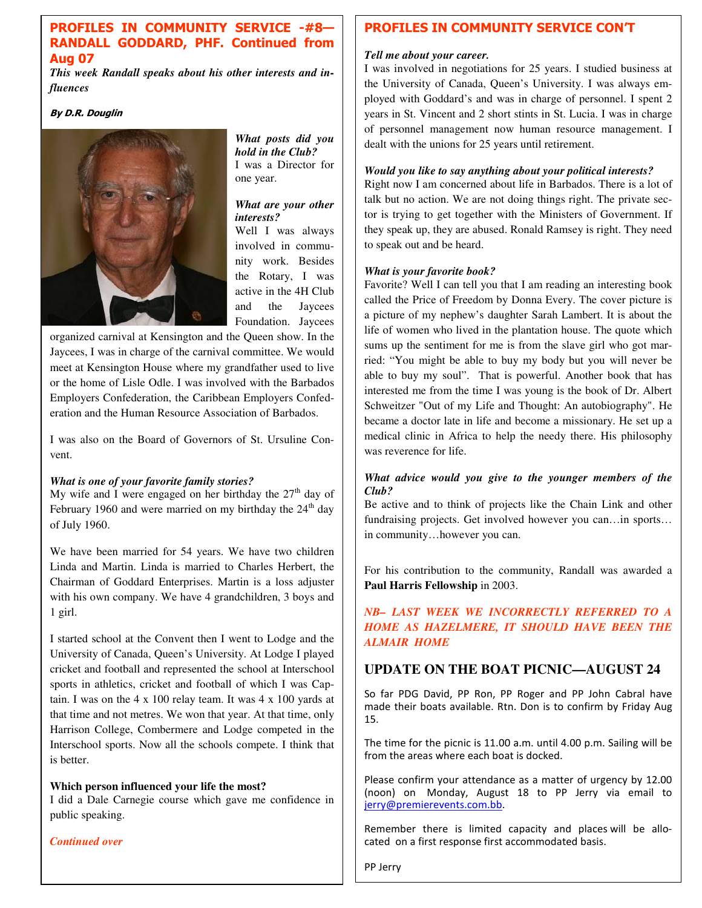#### **PROFILES IN COMMUNITY SERVICE -#8— RANDALL GODDARD, PHF. Continued from Aug 07**

*This week Randall speaks about his other interests and influences* 

#### **By D.R. Douglin**



*What posts did you hold in the Club?*  I was a Director for one year.

#### *What are your other interests?*

Well I was always involved in community work. Besides the Rotary, I was active in the 4H Club and the Jaycees Foundation. Jaycees

organized carnival at Kensington and the Queen show. In the Jaycees, I was in charge of the carnival committee. We would meet at Kensington House where my grandfather used to live or the home of Lisle Odle. I was involved with the Barbados Employers Confederation, the Caribbean Employers Confederation and the Human Resource Association of Barbados.

I was also on the Board of Governors of St. Ursuline Convent.

#### *What is one of your favorite family stories?*

My wife and I were engaged on her birthday the  $27<sup>th</sup>$  day of February 1960 and were married on my birthday the  $24<sup>th</sup>$  day of July 1960.

We have been married for 54 years. We have two children Linda and Martin. Linda is married to Charles Herbert, the Chairman of Goddard Enterprises. Martin is a loss adjuster with his own company. We have 4 grandchildren, 3 boys and 1 girl.

I started school at the Convent then I went to Lodge and the University of Canada, Queen's University. At Lodge I played cricket and football and represented the school at Interschool sports in athletics, cricket and football of which I was Captain. I was on the 4 x 100 relay team. It was 4 x 100 yards at that time and not metres. We won that year. At that time, only Harrison College, Combermere and Lodge competed in the Interschool sports. Now all the schools compete. I think that is better.

#### **Which person influenced your life the most?**

I did a Dale Carnegie course which gave me confidence in public speaking.

*Continued over*

#### **PROFILES IN COMMUNITY SERVICE CON'T**

#### *Tell me about your career.*

I was involved in negotiations for 25 years. I studied business at the University of Canada, Queen's University. I was always employed with Goddard's and was in charge of personnel. I spent 2 years in St. Vincent and 2 short stints in St. Lucia. I was in charge of personnel management now human resource management. I dealt with the unions for 25 years until retirement.

#### *Would you like to say anything about your political interests?*

Right now I am concerned about life in Barbados. There is a lot of talk but no action. We are not doing things right. The private sector is trying to get together with the Ministers of Government. If they speak up, they are abused. Ronald Ramsey is right. They need to speak out and be heard.

#### *What is your favorite book?*

Favorite? Well I can tell you that I am reading an interesting book called the Price of Freedom by Donna Every. The cover picture is a picture of my nephew's daughter Sarah Lambert. It is about the life of women who lived in the plantation house. The quote which sums up the sentiment for me is from the slave girl who got married: "You might be able to buy my body but you will never be able to buy my soul". That is powerful. Another book that has interested me from the time I was young is the book of Dr. Albert Schweitzer "Out of my Life and Thought: An autobiography". He became a doctor late in life and become a missionary. He set up a medical clinic in Africa to help the needy there. His philosophy was reverence for life.

#### *What advice would you give to the younger members of the Club?*

Be active and to think of projects like the Chain Link and other fundraising projects. Get involved however you can…in sports… in community…however you can.

For his contribution to the community, Randall was awarded a **Paul Harris Fellowship** in 2003.

*NB– LAST WEEK WE INCORRECTLY REFERRED TO A HOME AS HAZELMERE, IT SHOULD HAVE BEEN THE ALMAIR HOME* 

#### **UPDATE ON THE BOAT PICNIC—AUGUST 24**

So far PDG David, PP Ron, PP Roger and PP John Cabral have made their boats available. Rtn. Don is to confirm by Friday Aug 15.

The time for the picnic is 11.00 a.m. until 4.00 p.m. Sailing will be from the areas where each boat is docked.

Please confirm your attendance as a matter of urgency by 12.00 (noon) on Monday, August 18 to PP Jerry via email to jerry@premierevents.com.bb.

Remember there is limited capacity and places will be allocated on a first response first accommodated basis.

PP Jerry